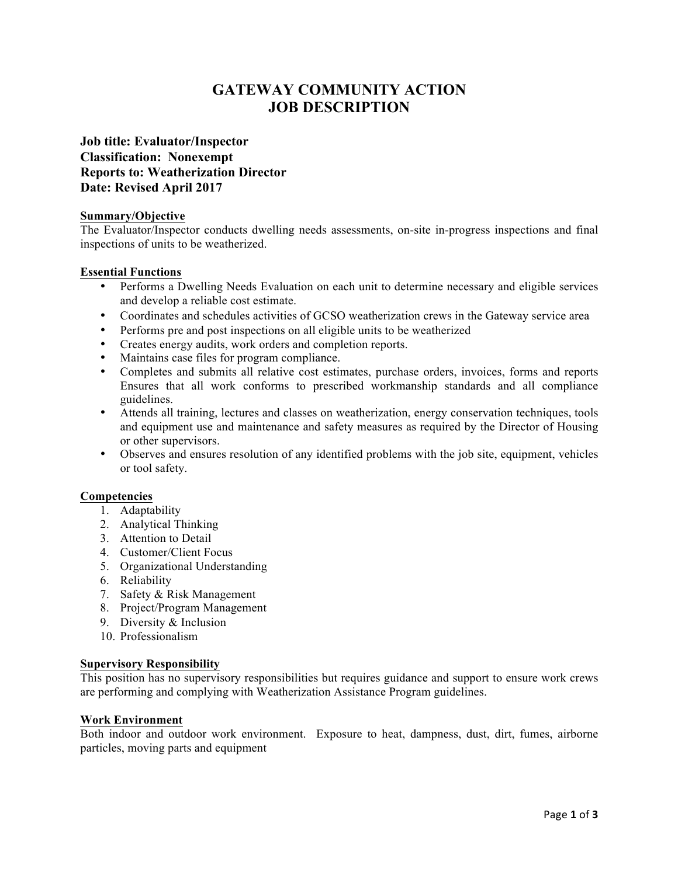# **GATEWAY COMMUNITY ACTION JOB DESCRIPTION**

# **Job title: Evaluator/Inspector Classification: Nonexempt Reports to: Weatherization Director Date: Revised April 2017**

### **Summary/Objective**

The Evaluator/Inspector conducts dwelling needs assessments, on-site in-progress inspections and final inspections of units to be weatherized.

# **Essential Functions**

- Performs a Dwelling Needs Evaluation on each unit to determine necessary and eligible services and develop a reliable cost estimate.
- Coordinates and schedules activities of GCSO weatherization crews in the Gateway service area
- Performs pre and post inspections on all eligible units to be weatherized
- Creates energy audits, work orders and completion reports.
- Maintains case files for program compliance.
- Completes and submits all relative cost estimates, purchase orders, invoices, forms and reports Ensures that all work conforms to prescribed workmanship standards and all compliance guidelines.
- Attends all training, lectures and classes on weatherization, energy conservation techniques, tools and equipment use and maintenance and safety measures as required by the Director of Housing or other supervisors.
- Observes and ensures resolution of any identified problems with the job site, equipment, vehicles or tool safety.

### **Competencies**

- 1. Adaptability
- 2. Analytical Thinking
- 3. Attention to Detail
- 4. Customer/Client Focus
- 5. Organizational Understanding
- 6. Reliability
- 7. Safety & Risk Management
- 8. Project/Program Management
- 9. Diversity & Inclusion
- 10. Professionalism

### **Supervisory Responsibility**

This position has no supervisory responsibilities but requires guidance and support to ensure work crews are performing and complying with Weatherization Assistance Program guidelines.

### **Work Environment**

Both indoor and outdoor work environment. Exposure to heat, dampness, dust, dirt, fumes, airborne particles, moving parts and equipment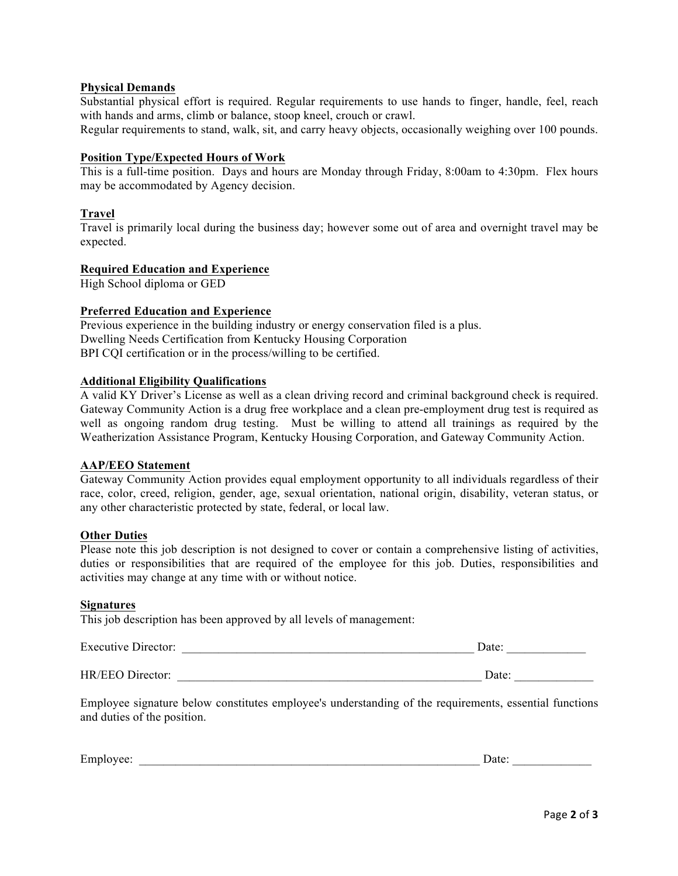# **Physical Demands**

Substantial physical effort is required. Regular requirements to use hands to finger, handle, feel, reach with hands and arms, climb or balance, stoop kneel, crouch or crawl.

Regular requirements to stand, walk, sit, and carry heavy objects, occasionally weighing over 100 pounds.

### **Position Type/Expected Hours of Work**

This is a full-time position. Days and hours are Monday through Friday, 8:00am to 4:30pm. Flex hours may be accommodated by Agency decision.

### **Travel**

Travel is primarily local during the business day; however some out of area and overnight travel may be expected.

### **Required Education and Experience**

High School diploma or GED

### **Preferred Education and Experience**

Previous experience in the building industry or energy conservation filed is a plus. Dwelling Needs Certification from Kentucky Housing Corporation BPI CQI certification or in the process/willing to be certified.

#### **Additional Eligibility Qualifications**

A valid KY Driver's License as well as a clean driving record and criminal background check is required. Gateway Community Action is a drug free workplace and a clean pre-employment drug test is required as well as ongoing random drug testing. Must be willing to attend all trainings as required by the Weatherization Assistance Program, Kentucky Housing Corporation, and Gateway Community Action.

#### **AAP/EEO Statement**

Gateway Community Action provides equal employment opportunity to all individuals regardless of their race, color, creed, religion, gender, age, sexual orientation, national origin, disability, veteran status, or any other characteristic protected by state, federal, or local law.

### **Other Duties**

Please note this job description is not designed to cover or contain a comprehensive listing of activities, duties or responsibilities that are required of the employee for this job. Duties, responsibilities and activities may change at any time with or without notice.

#### **Signatures**

This job description has been approved by all levels of management:

| $\blacksquare$<br><b>Executive Director:</b> | Jate |
|----------------------------------------------|------|
|                                              |      |

HR/EEO Director: \_\_\_\_\_\_\_\_\_\_\_\_\_\_\_\_\_\_\_\_\_\_\_\_\_\_\_\_\_\_\_\_\_\_\_\_\_\_\_\_\_\_\_\_\_\_\_\_\_\_ Date: \_\_\_\_\_\_\_\_\_\_\_\_\_

Employee signature below constitutes employee's understanding of the requirements, essential functions and duties of the position.

| $\overline{\phantom{0}}$<br>Еm<br>د، د،<br>1111<br>. . | . |  |
|--------------------------------------------------------|---|--|
|                                                        |   |  |